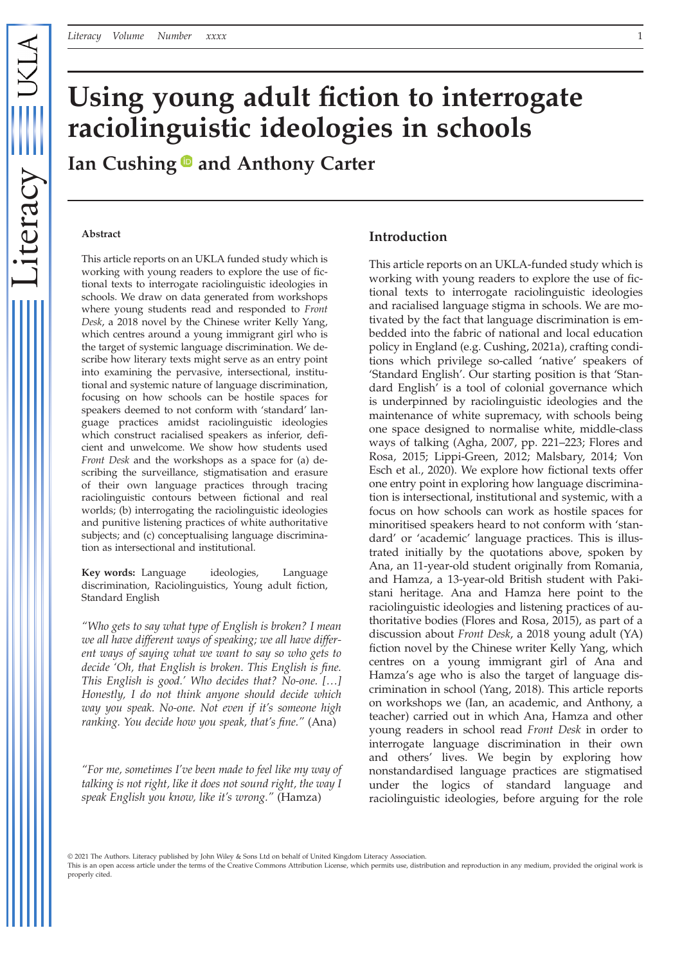# **Using young adult fiction to interrogate raciolinguistic ideologies in schools**

**Ian Cushing and Anthony Carter**

#### **Abstract**

This article reports on an UKLA funded study which is working with young readers to explore the use of fictional texts to interrogate raciolinguistic ideologies in schools. We draw on data generated from workshops where young students read and responded to *Front Desk*, a 2018 novel by the Chinese writer Kelly Yang, which centres around a young immigrant girl who is the target of systemic language discrimination. We describe how literary texts might serve as an entry point into examining the pervasive, intersectional, institutional and systemic nature of language discrimination, focusing on how schools can be hostile spaces for speakers deemed to not conform with 'standard' language practices amidst raciolinguistic ideologies which construct racialised speakers as inferior, deficient and unwelcome. We show how students used *Front Desk* and the workshops as a space for (a) describing the surveillance, stigmatisation and erasure of their own language practices through tracing raciolinguistic contours between fictional and real worlds; (b) interrogating the raciolinguistic ideologies and punitive listening practices of white authoritative subjects; and (c) conceptualising language discrimination as intersectional and institutional.

**Key words:** Language ideologies, Language discrimination, Raciolinguistics, Young adult fiction, Standard English

*"Who gets to say what type of English is broken? I mean we all have different ways of speaking; we all have different ways of saying what we want to say so who gets to decide 'Oh, that English is broken. This English is fine. This English is good.' Who decides that? No-one. […] Honestly, I do not think anyone should decide which way you speak. No-one. Not even if it's someone high ranking. You decide how you speak, that's fine."* (Ana)

*"For me, sometimes I've been made to feel like my way of talking is not right, like it does not sound right, the way I speak English you know, like it's wrong."* (Hamza)

## **Introduction**

This article reports on an UKLA-funded study which is working with young readers to explore the use of fictional texts to interrogate raciolinguistic ideologies and racialised language stigma in schools. We are motivated by the fact that language discrimination is embedded into the fabric of national and local education policy in England (e.g. Cushing, 2021a), crafting conditions which privilege so-called 'native' speakers of 'Standard English'. Our starting position is that 'Standard English' is a tool of colonial governance which is underpinned by raciolinguistic ideologies and the maintenance of white supremacy, with schools being one space designed to normalise white, middle-class ways of talking (Agha, 2007, pp. 221–223; Flores and Rosa, 2015; Lippi-Green, 2012; Malsbary, 2014; Von Esch et al., 2020). We explore how fictional texts offer one entry point in exploring how language discrimination is intersectional, institutional and systemic, with a focus on how schools can work as hostile spaces for minoritised speakers heard to not conform with 'standard' or 'academic' language practices. This is illustrated initially by the quotations above, spoken by Ana, an 11-year-old student originally from Romania, and Hamza, a 13-year-old British student with Pakistani heritage. Ana and Hamza here point to the raciolinguistic ideologies and listening practices of authoritative bodies (Flores and Rosa, 2015), as part of a discussion about *Front Desk*, a 2018 young adult (YA) fiction novel by the Chinese writer Kelly Yang, which centres on a young immigrant girl of Ana and Hamza's age who is also the target of language discrimination in school (Yang, 2018). This article reports on workshops we (Ian, an academic, and Anthony, a teacher) carried out in which Ana, Hamza and other young readers in school read *Front Desk* in order to interrogate language discrimination in their own and others' lives. We begin by exploring how nonstandardised language practices are stigmatised under the logics of standard language and raciolinguistic ideologies, before arguing for the role

© 2021 The Authors. Literacy published by John Wiley & Sons Ltd on behalf of United Kingdom Literacy Association.

This is an open access article under the terms of the [Creative Commons Attribution](http://creativecommons.org/licenses/by/4.0/) License, which permits use, distribution and reproduction in any medium, provided the original work is properly cited.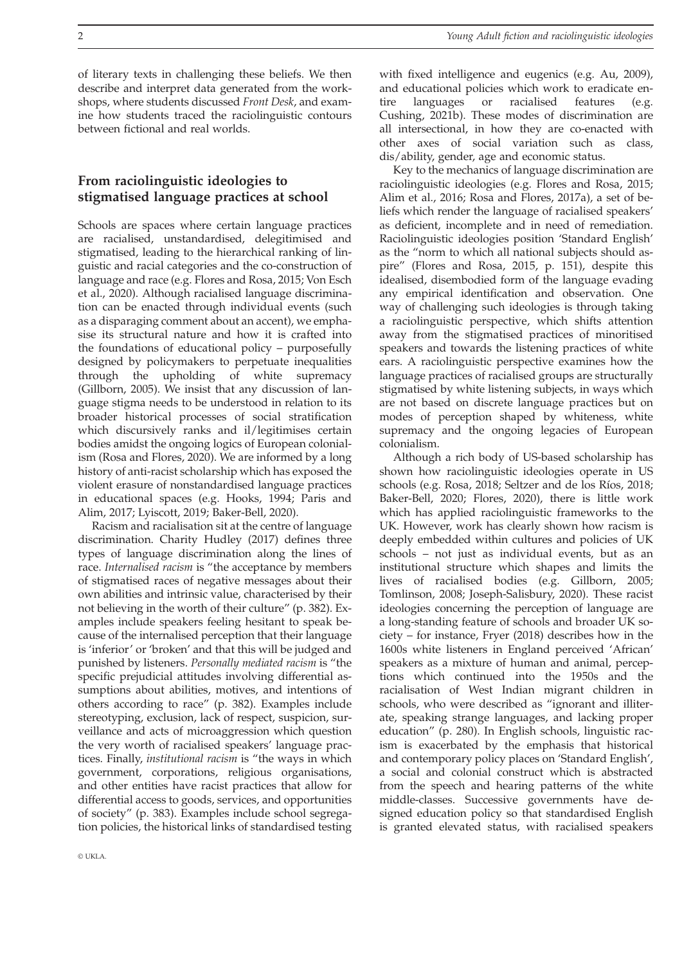of literary texts in challenging these beliefs. We then describe and interpret data generated from the workshops, where students discussed *Front Desk*, and examine how students traced the raciolinguistic contours between fictional and real worlds.

# **From raciolinguistic ideologies to stigmatised language practices at school**

Schools are spaces where certain language practices are racialised, unstandardised, delegitimised and stigmatised, leading to the hierarchical ranking of linguistic and racial categories and the co-construction of language and race (e.g. Flores and Rosa, 2015; Von Esch et al., 2020). Although racialised language discrimination can be enacted through individual events (such as a disparaging comment about an accent), we emphasise its structural nature and how it is crafted into the foundations of educational policy – purposefully designed by policymakers to perpetuate inequalities through the upholding of white supremacy (Gillborn, 2005). We insist that any discussion of language stigma needs to be understood in relation to its broader historical processes of social stratification which discursively ranks and il/legitimises certain bodies amidst the ongoing logics of European colonialism (Rosa and Flores, 2020). We are informed by a long history of anti-racist scholarship which has exposed the violent erasure of nonstandardised language practices in educational spaces (e.g. Hooks, 1994; Paris and Alim, 2017; Lyiscott, 2019; Baker-Bell, 2020).

Racism and racialisation sit at the centre of language discrimination. Charity Hudley (2017) defines three types of language discrimination along the lines of race. *Internalised racism* is "the acceptance by members of stigmatised races of negative messages about their own abilities and intrinsic value, characterised by their not believing in the worth of their culture" (p. 382). Examples include speakers feeling hesitant to speak because of the internalised perception that their language is 'inferior' or 'broken' and that this will be judged and punished by listeners. *Personally mediated racism* is "the specific prejudicial attitudes involving differential assumptions about abilities, motives, and intentions of others according to race" (p. 382). Examples include stereotyping, exclusion, lack of respect, suspicion, surveillance and acts of microaggression which question the very worth of racialised speakers' language practices. Finally, *institutional racism* is "the ways in which government, corporations, religious organisations, and other entities have racist practices that allow for differential access to goods, services, and opportunities of society" (p. 383). Examples include school segregation policies, the historical links of standardised testing

with fixed intelligence and eugenics (e.g. Au, 2009), and educational policies which work to eradicate entire languages or racialised features (e.g. Cushing, 2021b). These modes of discrimination are all intersectional, in how they are co-enacted with other axes of social variation such as class, dis/ability, gender, age and economic status.

Key to the mechanics of language discrimination are raciolinguistic ideologies (e.g. Flores and Rosa, 2015; Alim et al., 2016; Rosa and Flores, 2017a), a set of beliefs which render the language of racialised speakers' as deficient, incomplete and in need of remediation. Raciolinguistic ideologies position 'Standard English' as the "norm to which all national subjects should aspire" (Flores and Rosa, 2015, p. 151), despite this idealised, disembodied form of the language evading any empirical identification and observation. One way of challenging such ideologies is through taking a raciolinguistic perspective, which shifts attention away from the stigmatised practices of minoritised speakers and towards the listening practices of white ears. A raciolinguistic perspective examines how the language practices of racialised groups are structurally stigmatised by white listening subjects, in ways which are not based on discrete language practices but on modes of perception shaped by whiteness, white supremacy and the ongoing legacies of European colonialism.

Although a rich body of US-based scholarship has shown how raciolinguistic ideologies operate in US schools (e.g. Rosa, 2018; Seltzer and de los Ríos, 2018; Baker-Bell, 2020; Flores, 2020), there is little work which has applied raciolinguistic frameworks to the UK. However, work has clearly shown how racism is deeply embedded within cultures and policies of UK schools – not just as individual events, but as an institutional structure which shapes and limits the lives of racialised bodies (e.g. Gillborn, 2005; Tomlinson, 2008; Joseph-Salisbury, 2020). These racist ideologies concerning the perception of language are a long-standing feature of schools and broader UK society – for instance, Fryer (2018) describes how in the 1600s white listeners in England perceived 'African' speakers as a mixture of human and animal, perceptions which continued into the 1950s and the racialisation of West Indian migrant children in schools, who were described as "ignorant and illiterate, speaking strange languages, and lacking proper education" (p. 280). In English schools, linguistic racism is exacerbated by the emphasis that historical and contemporary policy places on 'Standard English', a social and colonial construct which is abstracted from the speech and hearing patterns of the white middle-classes. Successive governments have designed education policy so that standardised English is granted elevated status, with racialised speakers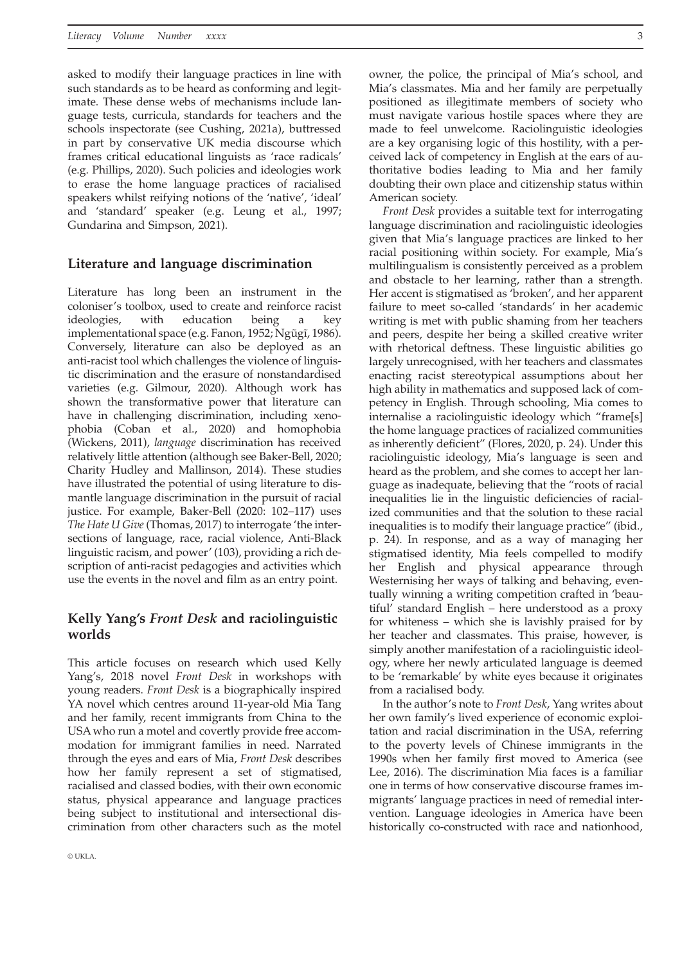asked to modify their language practices in line with such standards as to be heard as conforming and legitimate. These dense webs of mechanisms include language tests, curricula, standards for teachers and the schools inspectorate (see Cushing, 2021a), buttressed in part by conservative UK media discourse which frames critical educational linguists as 'race radicals' (e.g. Phillips, 2020). Such policies and ideologies work to erase the home language practices of racialised speakers whilst reifying notions of the 'native', 'ideal' and 'standard' speaker (e.g. Leung et al., 1997; Gundarina and Simpson, 2021).

#### **Literature and language discrimination**

Literature has long been an instrument in the coloniser's toolbox, used to create and reinforce racist ideologies, with education being a key implementational space (e.g. Fanon, 1952; Ngũgĩ, 1986). Conversely, literature can also be deployed as an anti-racist tool which challenges the violence of linguistic discrimination and the erasure of nonstandardised varieties (e.g. Gilmour, 2020). Although work has shown the transformative power that literature can have in challenging discrimination, including xenophobia (Coban et al., 2020) and homophobia (Wickens, 2011), *language* discrimination has received relatively little attention (although see Baker-Bell, 2020; Charity Hudley and Mallinson, 2014). These studies have illustrated the potential of using literature to dismantle language discrimination in the pursuit of racial justice. For example, Baker-Bell (2020: 102–117) uses *The Hate U Give* (Thomas, 2017) to interrogate 'the intersections of language, race, racial violence, Anti-Black linguistic racism, and power' (103), providing a rich description of anti-racist pedagogies and activities which use the events in the novel and film as an entry point.

# **Kelly Yang's** *Front Desk* **and raciolinguistic worlds**

This article focuses on research which used Kelly Yang's, 2018 novel *Front Desk* in workshops with young readers. *Front Desk* is a biographically inspired YA novel which centres around 11-year-old Mia Tang and her family, recent immigrants from China to the USA who run a motel and covertly provide free accommodation for immigrant families in need. Narrated through the eyes and ears of Mia, *Front Desk* describes how her family represent a set of stigmatised, racialised and classed bodies, with their own economic status, physical appearance and language practices being subject to institutional and intersectional discrimination from other characters such as the motel

owner, the police, the principal of Mia's school, and Mia's classmates. Mia and her family are perpetually positioned as illegitimate members of society who must navigate various hostile spaces where they are made to feel unwelcome. Raciolinguistic ideologies are a key organising logic of this hostility, with a perceived lack of competency in English at the ears of authoritative bodies leading to Mia and her family doubting their own place and citizenship status within American society.

*Front Desk* provides a suitable text for interrogating language discrimination and raciolinguistic ideologies given that Mia's language practices are linked to her racial positioning within society. For example, Mia's multilingualism is consistently perceived as a problem and obstacle to her learning, rather than a strength. Her accent is stigmatised as 'broken', and her apparent failure to meet so-called 'standards' in her academic writing is met with public shaming from her teachers and peers, despite her being a skilled creative writer with rhetorical deftness. These linguistic abilities go largely unrecognised, with her teachers and classmates enacting racist stereotypical assumptions about her high ability in mathematics and supposed lack of competency in English. Through schooling, Mia comes to internalise a raciolinguistic ideology which "frame[s] the home language practices of racialized communities as inherently deficient" (Flores, 2020, p. 24). Under this raciolinguistic ideology, Mia's language is seen and heard as the problem, and she comes to accept her language as inadequate, believing that the "roots of racial inequalities lie in the linguistic deficiencies of racialized communities and that the solution to these racial inequalities is to modify their language practice" (ibid., p. 24). In response, and as a way of managing her stigmatised identity, Mia feels compelled to modify her English and physical appearance through Westernising her ways of talking and behaving, eventually winning a writing competition crafted in 'beautiful' standard English – here understood as a proxy for whiteness – which she is lavishly praised for by her teacher and classmates. This praise, however, is simply another manifestation of a raciolinguistic ideology, where her newly articulated language is deemed to be 'remarkable' by white eyes because it originates from a racialised body.

In the author's note to *Front Desk*, Yang writes about her own family's lived experience of economic exploitation and racial discrimination in the USA, referring to the poverty levels of Chinese immigrants in the 1990s when her family first moved to America (see Lee, 2016). The discrimination Mia faces is a familiar one in terms of how conservative discourse frames immigrants' language practices in need of remedial intervention. Language ideologies in America have been historically co-constructed with race and nationhood,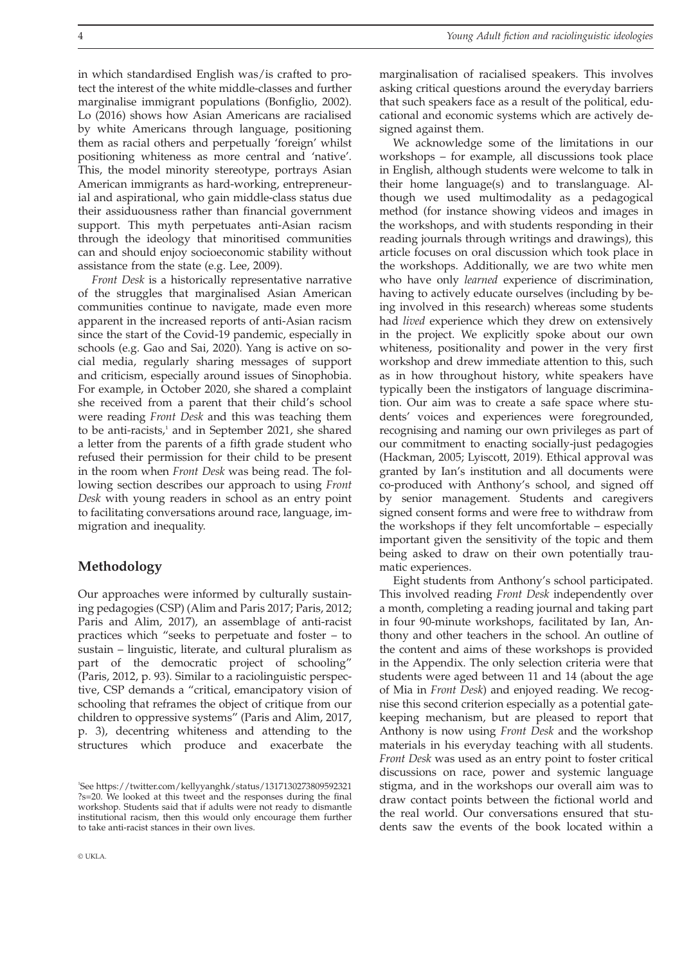in which standardised English was/is crafted to protect the interest of the white middle-classes and further marginalise immigrant populations (Bonfiglio, 2002). Lo (2016) shows how Asian Americans are racialised by white Americans through language, positioning them as racial others and perpetually 'foreign' whilst positioning whiteness as more central and 'native'. This, the model minority stereotype, portrays Asian American immigrants as hard-working, entrepreneurial and aspirational, who gain middle-class status due their assiduousness rather than financial government support. This myth perpetuates anti-Asian racism through the ideology that minoritised communities can and should enjoy socioeconomic stability without assistance from the state (e.g. Lee, 2009).

*Front Desk* is a historically representative narrative of the struggles that marginalised Asian American communities continue to navigate, made even more apparent in the increased reports of anti-Asian racism since the start of the Covid-19 pandemic, especially in schools (e.g. Gao and Sai, 2020). Yang is active on social media, regularly sharing messages of support and criticism, especially around issues of Sinophobia. For example, in October 2020, she shared a complaint she received from a parent that their child's school were reading *Front Desk* and this was teaching them to be anti-racists,<sup>1</sup> and in September 2021, she shared a letter from the parents of a fifth grade student who refused their permission for their child to be present in the room when *Front Desk* was being read. The following section describes our approach to using *Front Desk* with young readers in school as an entry point to facilitating conversations around race, language, immigration and inequality.

# **Methodology**

Our approaches were informed by culturally sustaining pedagogies (CSP) (Alim and Paris 2017; Paris, 2012; Paris and Alim, 2017), an assemblage of anti-racist practices which "seeks to perpetuate and foster – to sustain – linguistic, literate, and cultural pluralism as part of the democratic project of schooling" (Paris, 2012, p. 93). Similar to a raciolinguistic perspective, CSP demands a "critical, emancipatory vision of schooling that reframes the object of critique from our children to oppressive systems" (Paris and Alim, 2017, p. 3), decentring whiteness and attending to the structures which produce and exacerbate the

marginalisation of racialised speakers. This involves asking critical questions around the everyday barriers that such speakers face as a result of the political, educational and economic systems which are actively designed against them.

We acknowledge some of the limitations in our workshops – for example, all discussions took place in English, although students were welcome to talk in their home language(s) and to translanguage. Although we used multimodality as a pedagogical method (for instance showing videos and images in the workshops, and with students responding in their reading journals through writings and drawings), this article focuses on oral discussion which took place in the workshops. Additionally, we are two white men who have only *learned* experience of discrimination, having to actively educate ourselves (including by being involved in this research) whereas some students had *lived* experience which they drew on extensively in the project. We explicitly spoke about our own whiteness, positionality and power in the very first workshop and drew immediate attention to this, such as in how throughout history, white speakers have typically been the instigators of language discrimination. Our aim was to create a safe space where students' voices and experiences were foregrounded, recognising and naming our own privileges as part of our commitment to enacting socially-just pedagogies (Hackman, 2005; Lyiscott, 2019). Ethical approval was granted by Ian's institution and all documents were co-produced with Anthony's school, and signed off by senior management. Students and caregivers signed consent forms and were free to withdraw from the workshops if they felt uncomfortable – especially important given the sensitivity of the topic and them being asked to draw on their own potentially traumatic experiences.

Eight students from Anthony's school participated. This involved reading *Front Desk* independently over a month, completing a reading journal and taking part in four 90-minute workshops, facilitated by Ian, Anthony and other teachers in the school. An outline of the content and aims of these workshops is provided in the Appendix. The only selection criteria were that students were aged between 11 and 14 (about the age of Mia in *Front Desk*) and enjoyed reading. We recognise this second criterion especially as a potential gatekeeping mechanism, but are pleased to report that Anthony is now using *Front Desk* and the workshop materials in his everyday teaching with all students. *Front Desk* was used as an entry point to foster critical discussions on race, power and systemic language stigma, and in the workshops our overall aim was to draw contact points between the fictional world and the real world. Our conversations ensured that students saw the events of the book located within a

<sup>1</sup> See [https://twitter.com/kellyyanghk/status/1317130273809592321](https://twitter.com/kellyyanghk/status/1317130273809592321?s=20) [?s=20.](https://twitter.com/kellyyanghk/status/1317130273809592321?s=20) We looked at this tweet and the responses during the final workshop. Students said that if adults were not ready to dismantle institutional racism, then this would only encourage them further to take anti-racist stances in their own lives.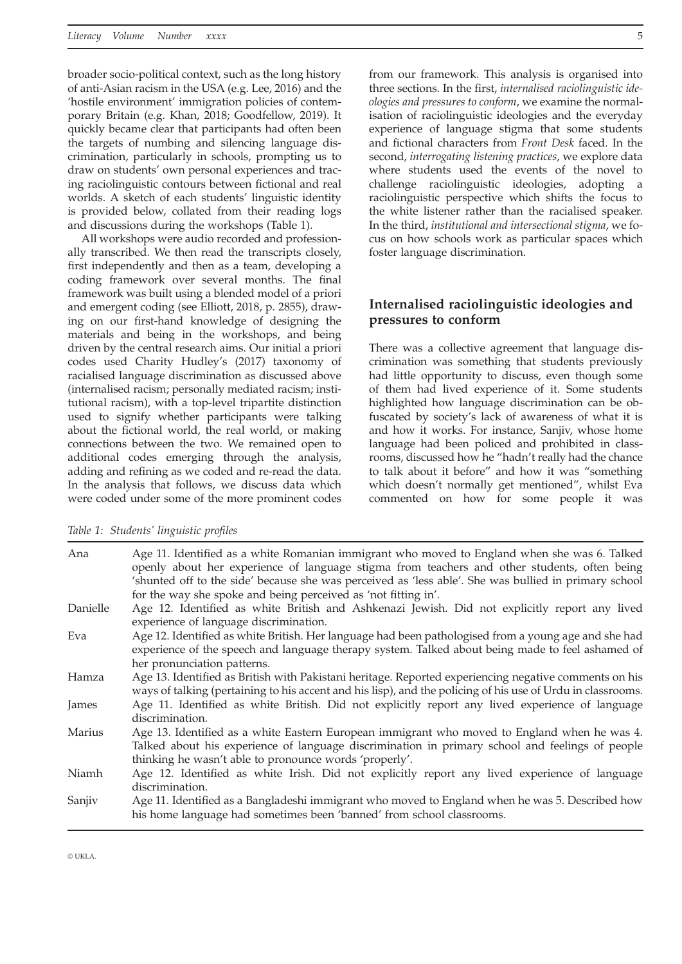broader socio-political context, such as the long history of anti-Asian racism in the USA (e.g. Lee, 2016) and the 'hostile environment' immigration policies of contemporary Britain (e.g. Khan, 2018; Goodfellow, 2019). It quickly became clear that participants had often been the targets of numbing and silencing language discrimination, particularly in schools, prompting us to draw on students' own personal experiences and tracing raciolinguistic contours between fictional and real worlds. A sketch of each students' linguistic identity is provided below, collated from their reading logs and discussions during the workshops (Table 1).

All workshops were audio recorded and professionally transcribed. We then read the transcripts closely, first independently and then as a team, developing a coding framework over several months. The final framework was built using a blended model of a priori and emergent coding (see Elliott, 2018, p. 2855), drawing on our first-hand knowledge of designing the materials and being in the workshops, and being driven by the central research aims. Our initial a priori codes used Charity Hudley's (2017) taxonomy of racialised language discrimination as discussed above (internalised racism; personally mediated racism; institutional racism), with a top-level tripartite distinction used to signify whether participants were talking about the fictional world, the real world, or making connections between the two. We remained open to additional codes emerging through the analysis, adding and refining as we coded and re-read the data. In the analysis that follows, we discuss data which were coded under some of the more prominent codes

from our framework. This analysis is organised into three sections. In the first, *internalised raciolinguistic ideologies and pressures to conform*, we examine the normalisation of raciolinguistic ideologies and the everyday experience of language stigma that some students and fictional characters from *Front Desk* faced. In the second, *interrogating listening practices*, we explore data where students used the events of the novel to challenge raciolinguistic ideologies, adopting a raciolinguistic perspective which shifts the focus to the white listener rather than the racialised speaker. In the third, *institutional and intersectional stigma*, we focus on how schools work as particular spaces which foster language discrimination.

# **Internalised raciolinguistic ideologies and pressures to conform**

There was a collective agreement that language discrimination was something that students previously had little opportunity to discuss, even though some of them had lived experience of it. Some students highlighted how language discrimination can be obfuscated by society's lack of awareness of what it is and how it works. For instance, Sanjiv, whose home language had been policed and prohibited in classrooms, discussed how he "hadn't really had the chance to talk about it before" and how it was "something which doesn't normally get mentioned", whilst Eva commented on how for some people it was

| Ana      | Age 11. Identified as a white Romanian immigrant who moved to England when she was 6. Talked<br>openly about her experience of language stigma from teachers and other students, often being<br>'shunted off to the side' because she was perceived as 'less able'. She was bullied in primary school<br>for the way she spoke and being perceived as 'not fitting in'. |
|----------|-------------------------------------------------------------------------------------------------------------------------------------------------------------------------------------------------------------------------------------------------------------------------------------------------------------------------------------------------------------------------|
| Danielle | Age 12. Identified as white British and Ashkenazi Jewish. Did not explicitly report any lived<br>experience of language discrimination.                                                                                                                                                                                                                                 |
| Eva      | Age 12. Identified as white British. Her language had been pathologised from a young age and she had<br>experience of the speech and language therapy system. Talked about being made to feel ashamed of<br>her pronunciation patterns.                                                                                                                                 |
| Hamza    | Age 13. Identified as British with Pakistani heritage. Reported experiencing negative comments on his<br>ways of talking (pertaining to his accent and his lisp), and the policing of his use of Urdu in classrooms.                                                                                                                                                    |
| James    | Age 11. Identified as white British. Did not explicitly report any lived experience of language<br>discrimination.                                                                                                                                                                                                                                                      |
| Marius   | Age 13. Identified as a white Eastern European immigrant who moved to England when he was 4.<br>Talked about his experience of language discrimination in primary school and feelings of people<br>thinking he wasn't able to pronounce words 'properly'.                                                                                                               |
| Niamh    | Age 12. Identified as white Irish. Did not explicitly report any lived experience of language<br>discrimination.                                                                                                                                                                                                                                                        |
| Sanjiv   | Age 11. Identified as a Bangladeshi immigrant who moved to England when he was 5. Described how<br>his home language had sometimes been 'banned' from school classrooms.                                                                                                                                                                                                |

#### *Table 1: Students' linguistic profiles*

© UKLA.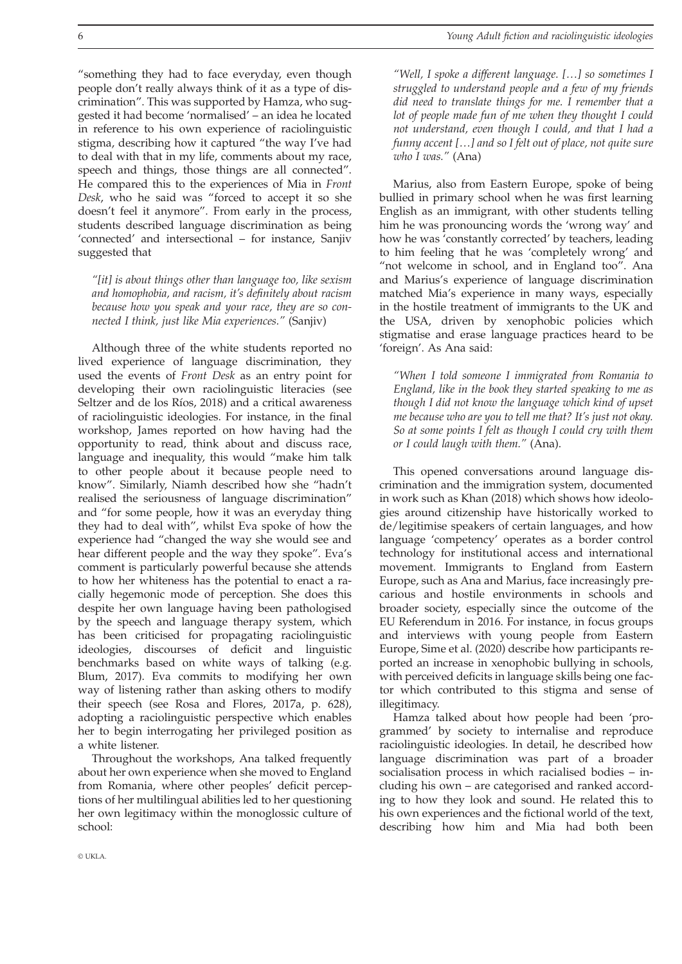"something they had to face everyday, even though people don't really always think of it as a type of discrimination". This was supported by Hamza, who suggested it had become 'normalised' – an idea he located in reference to his own experience of raciolinguistic stigma, describing how it captured "the way I've had to deal with that in my life, comments about my race, speech and things, those things are all connected". He compared this to the experiences of Mia in *Front Desk*, who he said was "forced to accept it so she doesn't feel it anymore". From early in the process, students described language discrimination as being 'connected' and intersectional – for instance, Sanjiv suggested that

*"[it] is about things other than language too, like sexism and homophobia, and racism, it's definitely about racism because how you speak and your race, they are so connected I think, just like Mia experiences."* (Sanjiv)

Although three of the white students reported no lived experience of language discrimination, they used the events of *Front Desk* as an entry point for developing their own raciolinguistic literacies (see Seltzer and de los Ríos, 2018) and a critical awareness of raciolinguistic ideologies. For instance, in the final workshop, James reported on how having had the opportunity to read, think about and discuss race, language and inequality, this would "make him talk to other people about it because people need to know". Similarly, Niamh described how she "hadn't realised the seriousness of language discrimination" and "for some people, how it was an everyday thing they had to deal with", whilst Eva spoke of how the experience had "changed the way she would see and hear different people and the way they spoke". Eva's comment is particularly powerful because she attends to how her whiteness has the potential to enact a racially hegemonic mode of perception. She does this despite her own language having been pathologised by the speech and language therapy system, which has been criticised for propagating raciolinguistic ideologies, discourses of deficit and linguistic benchmarks based on white ways of talking (e.g. Blum, 2017). Eva commits to modifying her own way of listening rather than asking others to modify their speech (see Rosa and Flores, 2017a, p. 628), adopting a raciolinguistic perspective which enables her to begin interrogating her privileged position as a white listener.

Throughout the workshops, Ana talked frequently about her own experience when she moved to England from Romania, where other peoples' deficit perceptions of her multilingual abilities led to her questioning her own legitimacy within the monoglossic culture of school:

*"Well, I spoke a different language. […] so sometimes I struggled to understand people and a few of my friends did need to translate things for me. I remember that a lot of people made fun of me when they thought I could not understand, even though I could, and that I had a funny accent […] and so I felt out of place, not quite sure who I was."* (Ana)

Marius, also from Eastern Europe, spoke of being bullied in primary school when he was first learning English as an immigrant, with other students telling him he was pronouncing words the 'wrong way' and how he was 'constantly corrected' by teachers, leading to him feeling that he was 'completely wrong' and "not welcome in school, and in England too". Ana and Marius's experience of language discrimination matched Mia's experience in many ways, especially in the hostile treatment of immigrants to the UK and the USA, driven by xenophobic policies which stigmatise and erase language practices heard to be 'foreign'. As Ana said:

*"When I told someone I immigrated from Romania to England, like in the book they started speaking to me as though I did not know the language which kind of upset me because who are you to tell me that? It's just not okay. So at some points I felt as though I could cry with them or I could laugh with them."* (Ana).

This opened conversations around language discrimination and the immigration system, documented in work such as Khan (2018) which shows how ideologies around citizenship have historically worked to de/legitimise speakers of certain languages, and how language 'competency' operates as a border control technology for institutional access and international movement. Immigrants to England from Eastern Europe, such as Ana and Marius, face increasingly precarious and hostile environments in schools and broader society, especially since the outcome of the EU Referendum in 2016. For instance, in focus groups and interviews with young people from Eastern Europe, Sime et al. (2020) describe how participants reported an increase in xenophobic bullying in schools, with perceived deficits in language skills being one factor which contributed to this stigma and sense of illegitimacy.

Hamza talked about how people had been 'programmed' by society to internalise and reproduce raciolinguistic ideologies. In detail, he described how language discrimination was part of a broader socialisation process in which racialised bodies – including his own – are categorised and ranked according to how they look and sound. He related this to his own experiences and the fictional world of the text, describing how him and Mia had both been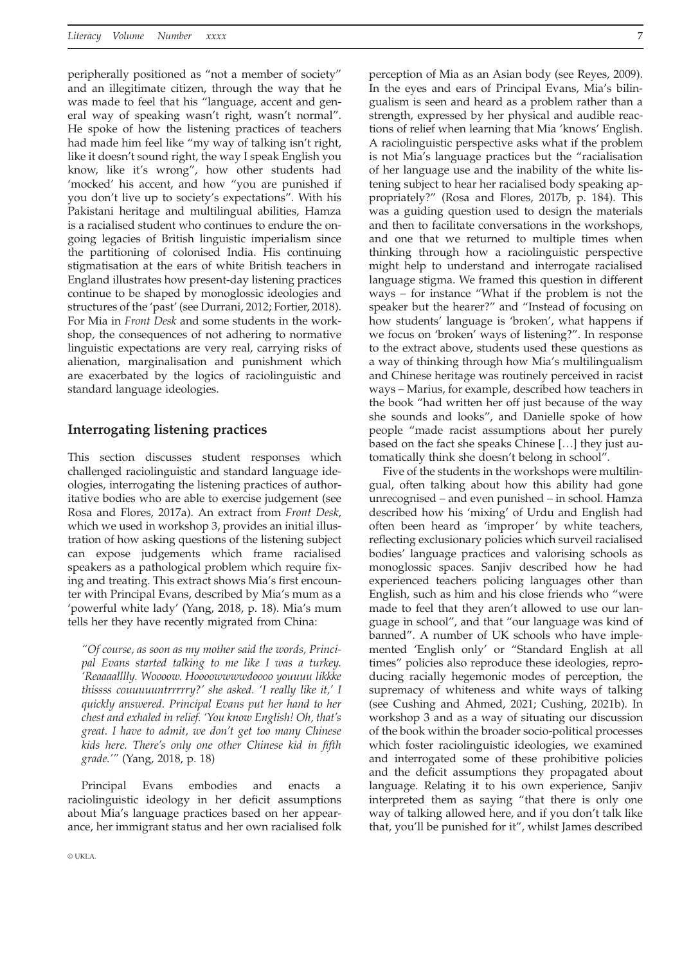peripherally positioned as "not a member of society" and an illegitimate citizen, through the way that he was made to feel that his "language, accent and general way of speaking wasn't right, wasn't normal". He spoke of how the listening practices of teachers had made him feel like "my way of talking isn't right, like it doesn't sound right, the way I speak English you know, like it's wrong", how other students had 'mocked' his accent, and how "you are punished if you don't live up to society's expectations". With his Pakistani heritage and multilingual abilities, Hamza is a racialised student who continues to endure the ongoing legacies of British linguistic imperialism since the partitioning of colonised India. His continuing stigmatisation at the ears of white British teachers in England illustrates how present-day listening practices continue to be shaped by monoglossic ideologies and structures of the 'past' (see Durrani, 2012; Fortier, 2018). For Mia in *Front Desk* and some students in the workshop, the consequences of not adhering to normative linguistic expectations are very real, carrying risks of alienation, marginalisation and punishment which are exacerbated by the logics of raciolinguistic and standard language ideologies.

## **Interrogating listening practices**

This section discusses student responses which challenged raciolinguistic and standard language ideologies, interrogating the listening practices of authoritative bodies who are able to exercise judgement (see Rosa and Flores, 2017a). An extract from *Front Desk*, which we used in workshop 3, provides an initial illustration of how asking questions of the listening subject can expose judgements which frame racialised speakers as a pathological problem which require fixing and treating. This extract shows Mia's first encounter with Principal Evans, described by Mia's mum as a 'powerful white lady' (Yang, 2018, p. 18). Mia's mum tells her they have recently migrated from China:

*"Of course, as soon as my mother said the words, Principal Evans started talking to me like I was a turkey. 'Reaaaalllly. Woooow. Hoooowwwwdoooo youuuu likkke thissss couuuuuntrrrrry?' she asked. 'I really like it,' I quickly answered. Principal Evans put her hand to her chest and exhaled in relief. 'You know English! Oh, that's great. I have to admit, we don't get too many Chinese kids here. There's only one other Chinese kid in fifth grade.'"* (Yang, 2018, p. 18)

Principal Evans embodies and enacts raciolinguistic ideology in her deficit assumptions about Mia's language practices based on her appearance, her immigrant status and her own racialised folk perception of Mia as an Asian body (see Reyes, 2009). In the eyes and ears of Principal Evans, Mia's bilingualism is seen and heard as a problem rather than a strength, expressed by her physical and audible reactions of relief when learning that Mia 'knows' English. A raciolinguistic perspective asks what if the problem is not Mia's language practices but the "racialisation of her language use and the inability of the white listening subject to hear her racialised body speaking appropriately?" (Rosa and Flores, 2017b, p. 184). This was a guiding question used to design the materials and then to facilitate conversations in the workshops, and one that we returned to multiple times when thinking through how a raciolinguistic perspective might help to understand and interrogate racialised language stigma. We framed this question in different ways – for instance "What if the problem is not the speaker but the hearer?" and "Instead of focusing on how students' language is 'broken', what happens if we focus on 'broken' ways of listening?". In response to the extract above, students used these questions as a way of thinking through how Mia's multilingualism and Chinese heritage was routinely perceived in racist ways – Marius, for example, described how teachers in the book "had written her off just because of the way she sounds and looks", and Danielle spoke of how people "made racist assumptions about her purely based on the fact she speaks Chinese […] they just au-

tomatically think she doesn't belong in school". Five of the students in the workshops were multilingual, often talking about how this ability had gone unrecognised – and even punished – in school. Hamza described how his 'mixing' of Urdu and English had often been heard as 'improper' by white teachers, reflecting exclusionary policies which surveil racialised bodies' language practices and valorising schools as monoglossic spaces. Sanjiv described how he had experienced teachers policing languages other than English, such as him and his close friends who "were made to feel that they aren't allowed to use our language in school", and that "our language was kind of banned". A number of UK schools who have implemented 'English only' or "Standard English at all times" policies also reproduce these ideologies, reproducing racially hegemonic modes of perception, the supremacy of whiteness and white ways of talking (see Cushing and Ahmed, 2021; Cushing, 2021b). In workshop 3 and as a way of situating our discussion of the book within the broader socio-political processes which foster raciolinguistic ideologies, we examined and interrogated some of these prohibitive policies and the deficit assumptions they propagated about language. Relating it to his own experience, Sanjiv interpreted them as saying "that there is only one way of talking allowed here, and if you don't talk like that, you'll be punished for it", whilst James described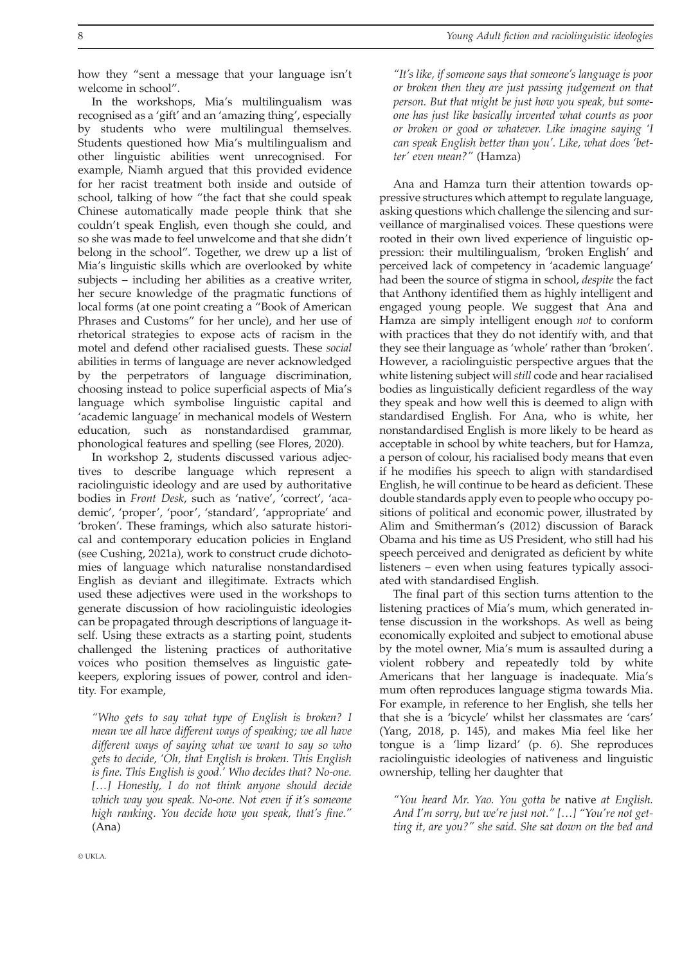In the workshops, Mia's multilingualism was recognised as a 'gift' and an 'amazing thing', especially by students who were multilingual themselves. Students questioned how Mia's multilingualism and other linguistic abilities went unrecognised. For example, Niamh argued that this provided evidence for her racist treatment both inside and outside of school, talking of how "the fact that she could speak Chinese automatically made people think that she couldn't speak English, even though she could, and so she was made to feel unwelcome and that she didn't belong in the school". Together, we drew up a list of Mia's linguistic skills which are overlooked by white subjects – including her abilities as a creative writer, her secure knowledge of the pragmatic functions of local forms (at one point creating a "Book of American Phrases and Customs" for her uncle), and her use of rhetorical strategies to expose acts of racism in the motel and defend other racialised guests. These *social* abilities in terms of language are never acknowledged by the perpetrators of language discrimination, choosing instead to police superficial aspects of Mia's language which symbolise linguistic capital and 'academic language' in mechanical models of Western education, such as nonstandardised grammar, phonological features and spelling (see Flores, 2020).

In workshop 2, students discussed various adjectives to describe language which represent a raciolinguistic ideology and are used by authoritative bodies in *Front Desk*, such as 'native', 'correct', 'academic', 'proper', 'poor', 'standard', 'appropriate' and 'broken'. These framings, which also saturate historical and contemporary education policies in England (see Cushing, 2021a), work to construct crude dichotomies of language which naturalise nonstandardised English as deviant and illegitimate. Extracts which used these adjectives were used in the workshops to generate discussion of how raciolinguistic ideologies can be propagated through descriptions of language itself. Using these extracts as a starting point, students challenged the listening practices of authoritative voices who position themselves as linguistic gatekeepers, exploring issues of power, control and identity. For example,

*"Who gets to say what type of English is broken? I mean we all have different ways of speaking; we all have different ways of saying what we want to say so who gets to decide, 'Oh, that English is broken. This English is fine. This English is good.' Who decides that? No-one. […] Honestly, I do not think anyone should decide which way you speak. No-one. Not even if it's someone high ranking. You decide how you speak, that's fine."* (Ana)

*"It's like, if someone says that someone's language is poor or broken then they are just passing judgement on that person. But that might be just how you speak, but someone has just like basically invented what counts as poor or broken or good or whatever. Like imagine saying 'I can speak English better than you'. Like, what does 'better' even mean?"* (Hamza)

Ana and Hamza turn their attention towards oppressive structures which attempt to regulate language, asking questions which challenge the silencing and surveillance of marginalised voices. These questions were rooted in their own lived experience of linguistic oppression: their multilingualism, 'broken English' and perceived lack of competency in 'academic language' had been the source of stigma in school, *despite* the fact that Anthony identified them as highly intelligent and engaged young people. We suggest that Ana and Hamza are simply intelligent enough *not* to conform with practices that they do not identify with, and that they see their language as 'whole' rather than 'broken'. However, a raciolinguistic perspective argues that the white listening subject will *still* code and hear racialised bodies as linguistically deficient regardless of the way they speak and how well this is deemed to align with standardised English. For Ana, who is white, her nonstandardised English is more likely to be heard as acceptable in school by white teachers, but for Hamza, a person of colour, his racialised body means that even if he modifies his speech to align with standardised English, he will continue to be heard as deficient. These double standards apply even to people who occupy positions of political and economic power, illustrated by Alim and Smitherman's (2012) discussion of Barack Obama and his time as US President, who still had his speech perceived and denigrated as deficient by white listeners – even when using features typically associated with standardised English.

The final part of this section turns attention to the listening practices of Mia's mum, which generated intense discussion in the workshops. As well as being economically exploited and subject to emotional abuse by the motel owner, Mia's mum is assaulted during a violent robbery and repeatedly told by white Americans that her language is inadequate. Mia's mum often reproduces language stigma towards Mia. For example, in reference to her English, she tells her that she is a 'bicycle' whilst her classmates are 'cars' (Yang, 2018, p. 145), and makes Mia feel like her tongue is a 'limp lizard' (p. 6). She reproduces raciolinguistic ideologies of nativeness and linguistic ownership, telling her daughter that

*"You heard Mr. Yao. You gotta be* native *at English. And I'm sorry, but we're just not." […] "You're not getting it, are you?" she said. She sat down on the bed and*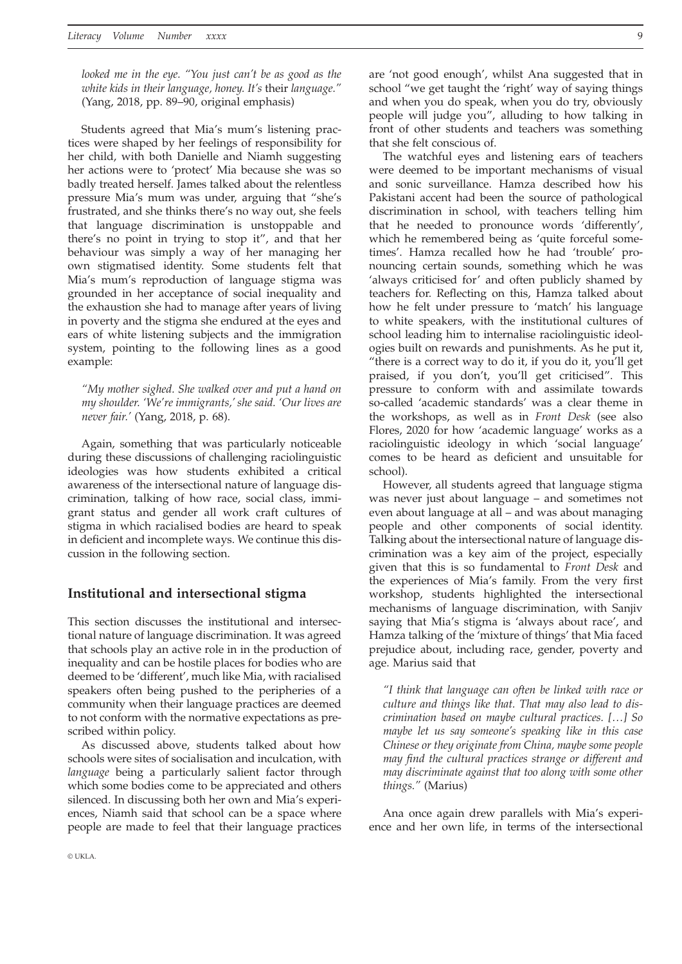*looked me in the eye. "You just can't be as good as the white kids in their language, honey. It's* their *language."* (Yang, 2018, pp. 89–90, original emphasis)

Students agreed that Mia's mum's listening practices were shaped by her feelings of responsibility for her child, with both Danielle and Niamh suggesting her actions were to 'protect' Mia because she was so badly treated herself. James talked about the relentless pressure Mia's mum was under, arguing that "she's frustrated, and she thinks there's no way out, she feels that language discrimination is unstoppable and there's no point in trying to stop it", and that her behaviour was simply a way of her managing her own stigmatised identity. Some students felt that Mia's mum's reproduction of language stigma was grounded in her acceptance of social inequality and the exhaustion she had to manage after years of living in poverty and the stigma she endured at the eyes and ears of white listening subjects and the immigration system, pointing to the following lines as a good example:

*"My mother sighed. She walked over and put a hand on my shoulder. 'We're immigrants,' she said. 'Our lives are never fair.'* (Yang, 2018, p. 68).

Again, something that was particularly noticeable during these discussions of challenging raciolinguistic ideologies was how students exhibited a critical awareness of the intersectional nature of language discrimination, talking of how race, social class, immigrant status and gender all work craft cultures of stigma in which racialised bodies are heard to speak in deficient and incomplete ways. We continue this discussion in the following section.

## **Institutional and intersectional stigma**

This section discusses the institutional and intersectional nature of language discrimination. It was agreed that schools play an active role in in the production of inequality and can be hostile places for bodies who are deemed to be 'different', much like Mia, with racialised speakers often being pushed to the peripheries of a community when their language practices are deemed to not conform with the normative expectations as prescribed within policy.

As discussed above, students talked about how schools were sites of socialisation and inculcation, with *language* being a particularly salient factor through which some bodies come to be appreciated and others silenced. In discussing both her own and Mia's experiences, Niamh said that school can be a space where people are made to feel that their language practices are 'not good enough', whilst Ana suggested that in school "we get taught the 'right' way of saying things and when you do speak, when you do try, obviously people will judge you", alluding to how talking in front of other students and teachers was something that she felt conscious of.

The watchful eyes and listening ears of teachers were deemed to be important mechanisms of visual and sonic surveillance. Hamza described how his Pakistani accent had been the source of pathological discrimination in school, with teachers telling him that he needed to pronounce words 'differently', which he remembered being as 'quite forceful sometimes'. Hamza recalled how he had 'trouble' pronouncing certain sounds, something which he was 'always criticised for' and often publicly shamed by teachers for. Reflecting on this, Hamza talked about how he felt under pressure to 'match' his language to white speakers, with the institutional cultures of school leading him to internalise raciolinguistic ideologies built on rewards and punishments. As he put it, "there is a correct way to do it, if you do it, you'll get praised, if you don't, you'll get criticised". This pressure to conform with and assimilate towards so-called 'academic standards' was a clear theme in the workshops, as well as in *Front Desk* (see also Flores, 2020 for how 'academic language' works as a raciolinguistic ideology in which 'social language' comes to be heard as deficient and unsuitable for school).

However, all students agreed that language stigma was never just about language – and sometimes not even about language at all – and was about managing people and other components of social identity. Talking about the intersectional nature of language discrimination was a key aim of the project, especially given that this is so fundamental to *Front Desk* and the experiences of Mia's family. From the very first workshop, students highlighted the intersectional mechanisms of language discrimination, with Sanjiv saying that Mia's stigma is 'always about race', and Hamza talking of the 'mixture of things' that Mia faced prejudice about, including race, gender, poverty and age. Marius said that

*"I think that language can often be linked with race or culture and things like that. That may also lead to discrimination based on maybe cultural practices. […] So maybe let us say someone's speaking like in this case Chinese or they originate from China, maybe some people may find the cultural practices strange or different and may discriminate against that too along with some other things."* (Marius)

Ana once again drew parallels with Mia's experience and her own life, in terms of the intersectional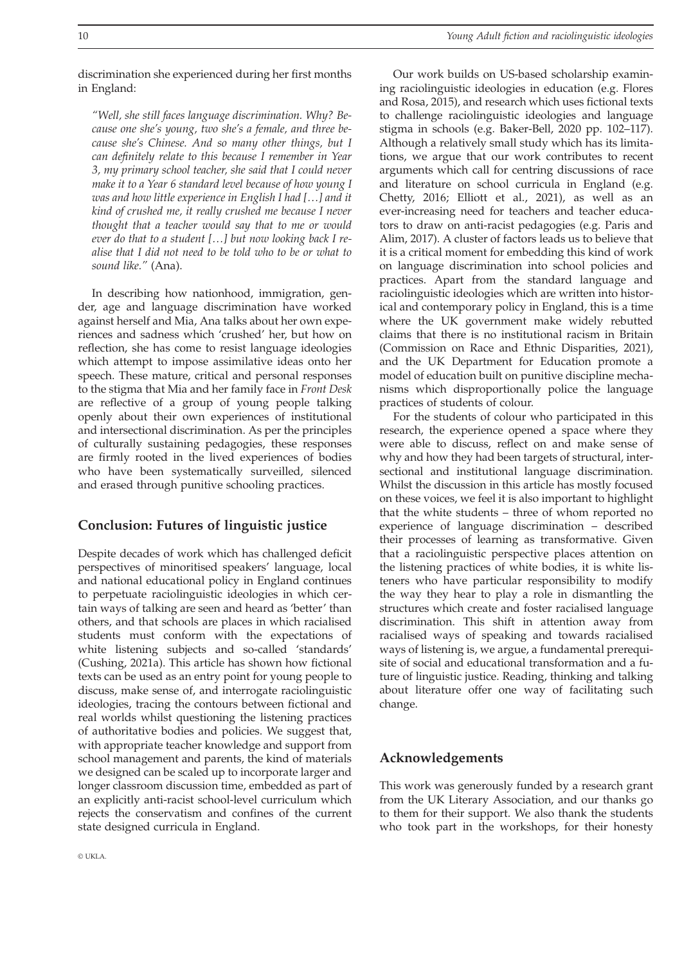discrimination she experienced during her first months in England:

*"Well, she still faces language discrimination. Why? Because one she's young, two she's a female, and three because she's Chinese. And so many other things, but I can definitely relate to this because I remember in Year 3, my primary school teacher, she said that I could never make it to a Year 6 standard level because of how young I was and how little experience in English I had […] and it kind of crushed me, it really crushed me because I never thought that a teacher would say that to me or would ever do that to a student […] but now looking back I realise that I did not need to be told who to be or what to sound like."* (Ana).

In describing how nationhood, immigration, gender, age and language discrimination have worked against herself and Mia, Ana talks about her own experiences and sadness which 'crushed' her, but how on reflection, she has come to resist language ideologies which attempt to impose assimilative ideas onto her speech. These mature, critical and personal responses to the stigma that Mia and her family face in *Front Desk* are reflective of a group of young people talking openly about their own experiences of institutional and intersectional discrimination. As per the principles of culturally sustaining pedagogies, these responses are firmly rooted in the lived experiences of bodies who have been systematically surveilled, silenced and erased through punitive schooling practices.

# **Conclusion: Futures of linguistic justice**

Despite decades of work which has challenged deficit perspectives of minoritised speakers' language, local and national educational policy in England continues to perpetuate raciolinguistic ideologies in which certain ways of talking are seen and heard as 'better' than others, and that schools are places in which racialised students must conform with the expectations of white listening subjects and so-called 'standards' (Cushing, 2021a). This article has shown how fictional texts can be used as an entry point for young people to discuss, make sense of, and interrogate raciolinguistic ideologies, tracing the contours between fictional and real worlds whilst questioning the listening practices of authoritative bodies and policies. We suggest that, with appropriate teacher knowledge and support from school management and parents, the kind of materials we designed can be scaled up to incorporate larger and longer classroom discussion time, embedded as part of an explicitly anti-racist school-level curriculum which rejects the conservatism and confines of the current state designed curricula in England.

Our work builds on US-based scholarship examining raciolinguistic ideologies in education (e.g. Flores and Rosa, 2015), and research which uses fictional texts to challenge raciolinguistic ideologies and language stigma in schools (e.g. Baker-Bell, 2020 pp. 102–117). Although a relatively small study which has its limitations, we argue that our work contributes to recent arguments which call for centring discussions of race and literature on school curricula in England (e.g. Chetty, 2016; Elliott et al., 2021), as well as an ever-increasing need for teachers and teacher educators to draw on anti-racist pedagogies (e.g. Paris and Alim, 2017). A cluster of factors leads us to believe that it is a critical moment for embedding this kind of work on language discrimination into school policies and practices. Apart from the standard language and raciolinguistic ideologies which are written into historical and contemporary policy in England, this is a time where the UK government make widely rebutted claims that there is no institutional racism in Britain (Commission on Race and Ethnic Disparities, 2021), and the UK Department for Education promote a model of education built on punitive discipline mechanisms which disproportionally police the language practices of students of colour.

For the students of colour who participated in this research, the experience opened a space where they were able to discuss, reflect on and make sense of why and how they had been targets of structural, intersectional and institutional language discrimination. Whilst the discussion in this article has mostly focused on these voices, we feel it is also important to highlight that the white students – three of whom reported no experience of language discrimination – described their processes of learning as transformative. Given that a raciolinguistic perspective places attention on the listening practices of white bodies, it is white listeners who have particular responsibility to modify the way they hear to play a role in dismantling the structures which create and foster racialised language discrimination. This shift in attention away from racialised ways of speaking and towards racialised ways of listening is, we argue, a fundamental prerequisite of social and educational transformation and a future of linguistic justice. Reading, thinking and talking about literature offer one way of facilitating such change.

# **Acknowledgements**

This work was generously funded by a research grant from the UK Literary Association, and our thanks go to them for their support. We also thank the students who took part in the workshops, for their honesty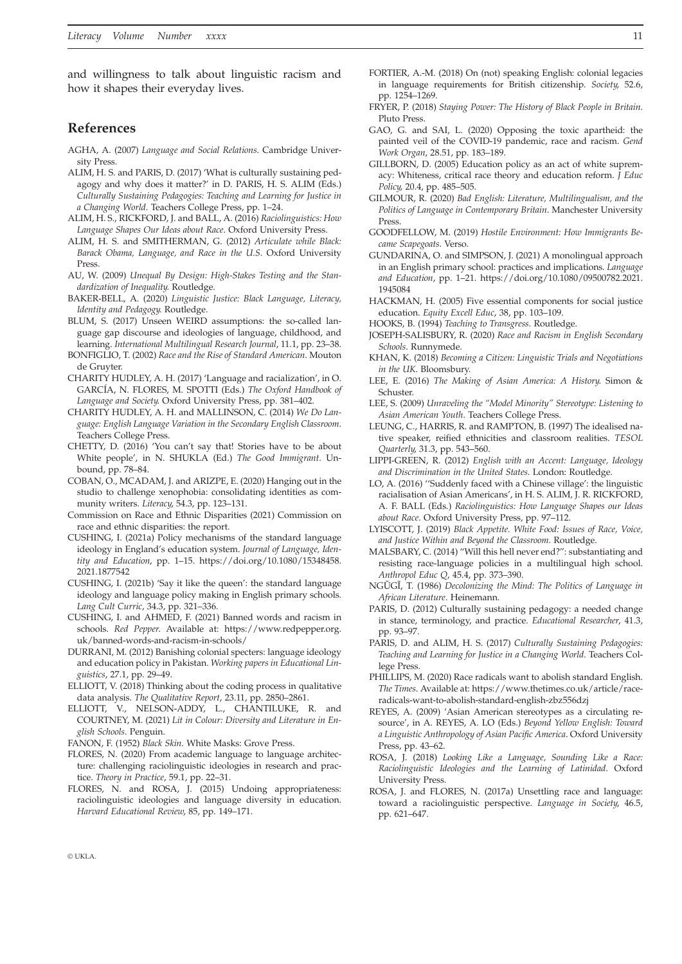and willingness to talk about linguistic racism and how it shapes their everyday lives.

## **References**

- AGHA, A. (2007) *Language and Social Relations*. Cambridge University Press.
- ALIM, H. S. and PARIS, D. (2017) 'What is culturally sustaining pedagogy and why does it matter?' in D. PARIS, H. S. ALIM (Eds.) *Culturally Sustaining Pedagogies: Teaching and Learning for Justice in a Changing World*. Teachers College Press, pp. 1–24.
- ALIM, H. S., RICKFORD, J. and BALL, A. (2016) *Raciolinguistics: How Language Shapes Our Ideas about Race*. Oxford University Press.
- ALIM, H. S. and SMITHERMAN, G. (2012) *Articulate while Black: Barack Obama, Language, and Race in the U.S*. Oxford University Press.
- AU, W. (2009) *Unequal By Design: High-Stakes Testing and the Standardization of Inequality*. Routledge.
- BAKER-BELL, A. (2020) *Linguistic Justice: Black Language, Literacy, Identity and Pedagogy*. Routledge.
- BLUM, S. (2017) Unseen WEIRD assumptions: the so-called language gap discourse and ideologies of language, childhood, and learning. *International Multilingual Research Journal*, 11.1, pp. 23–38.
- BONFIGLIO, T. (2002) *Race and the Rise of Standard American*. Mouton de Gruyter.
- CHARITY HUDLEY, A. H. (2017) 'Language and racialization', in O. GARCÍA, N. FLORES, M. SPOTTI (Eds.) *The Oxford Handbook of Language and Society*. Oxford University Press, pp. 381–402.
- CHARITY HUDLEY, A. H. and MALLINSON, C. (2014) *We Do Language: English Language Variation in the Secondary English Classroom*. Teachers College Press.
- CHETTY, D. (2016) 'You can't say that! Stories have to be about White people', in N. SHUKLA (Ed.) *The Good Immigrant*. Unbound, pp. 78–84.
- COBAN, O., MCADAM, J. and ARIZPE, E. (2020) Hanging out in the studio to challenge xenophobia: consolidating identities as community writers. *Literacy*, 54.3, pp. 123–131.
- Commission on Race and Ethnic Disparities (2021) Commission on race and ethnic disparities: the report.
- CUSHING, I. (2021a) Policy mechanisms of the standard language ideology in England's education system. *Journal of Language, Identity and Education*, pp. 1–15. [https://doi.org/10.1080/15348458.](https://doi.org/10.1080/15348458.2021.1877542) [2021.1877542](https://doi.org/10.1080/15348458.2021.1877542)
- CUSHING, I. (2021b) 'Say it like the queen': the standard language ideology and language policy making in English primary schools. *Lang Cult Curric*, 34.3, pp. 321–336.
- CUSHING, I. and AHMED, F. (2021) Banned words and racism in schools. *Red Pepper*. Available at: [https://www.redpepper.org.](https://www.redpepper.org.uk/banned-words-and-racism-in-schools/) [uk/banned-words-and-racism-in-schools/](https://www.redpepper.org.uk/banned-words-and-racism-in-schools/)
- DURRANI, M. (2012) Banishing colonial specters: language ideology and education policy in Pakistan. *Working papers in Educational Linguistics*, 27.1, pp. 29–49.
- ELLIOTT, V. (2018) Thinking about the coding process in qualitative data analysis. *The Qualitative Report*, 23.11, pp. 2850–2861.
- ELLIOTT, V., NELSON-ADDY, L., CHANTILUKE, R. and COURTNEY, M. (2021) *Lit in Colour: Diversity and Literature in English Schools*. Penguin.
- FANON, F. (1952) *Black Skin*. White Masks: Grove Press.
- FLORES, N. (2020) From academic language to language architecture: challenging raciolinguistic ideologies in research and practice. *Theory in Practice*, 59.1, pp. 22–31.
- FLORES, N. and ROSA, J. (2015) Undoing appropriateness: raciolinguistic ideologies and language diversity in education. *Harvard Educational Review*, 85, pp. 149–171.
- FORTIER, A.-M. (2018) On (not) speaking English: colonial legacies in language requirements for British citizenship. *Society*, 52.6, pp. 1254–1269.
- FRYER, P. (2018) *Staying Power: The History of Black People in Britain*. Pluto Press.
- GAO, G. and SAI, L. (2020) Opposing the toxic apartheid: the painted veil of the COVID-19 pandemic, race and racism. *Gend Work Organ*, 28.51, pp. 183–189.
- GILLBORN, D. (2005) Education policy as an act of white supremacy: Whiteness, critical race theory and education reform. *J Educ Policy*, 20.4, pp. 485–505.
- GILMOUR, R. (2020) *Bad English: Literature, Multilingualism, and the Politics of Language in Contemporary Britain*. Manchester University Press.
- GOODFELLOW, M. (2019) *Hostile Environment: How Immigrants Became Scapegoats*. Verso.
- GUNDARINA, O. and SIMPSON, J. (2021) A monolingual approach in an English primary school: practices and implications. *Language and Education*, pp. 1–21. [https://doi.org/10.1080/09500782.2021.](https://doi.org/10.1080/09500782.2021.1945084) [1945084](https://doi.org/10.1080/09500782.2021.1945084)
- HACKMAN, H. (2005) Five essential components for social justice education. *Equity Excell Educ*, 38, pp. 103–109.
- HOOKS, B. (1994) *Teaching to Transgress*. Routledge.
- JOSEPH-SALISBURY, R. (2020) *Race and Racism in English Secondary Schools*. Runnymede.
- KHAN, K. (2018) *Becoming a Citizen: Linguistic Trials and Negotiations in the UK*. Bloomsbury.
- LEE, E. (2016) *The Making of Asian America: A History*. Simon & Schuster.
- LEE, S. (2009) *Unraveling the "Model Minority" Stereotype: Listening to Asian American Youth*. Teachers College Press.
- LEUNG, C., HARRIS, R. and RAMPTON, B. (1997) The idealised native speaker, reified ethnicities and classroom realities. *TESOL Quarterly*, 31.3, pp. 543–560.
- LIPPI-GREEN, R. (2012) *English with an Accent: Language, Ideology and Discrimination in the United States*. London: Routledge.
- LO, A. (2016) ''Suddenly faced with a Chinese village': the linguistic racialisation of Asian Americans', in H. S. ALIM, J. R. RICKFORD, A. F. BALL (Eds.) *Raciolinguistics: How Language Shapes our Ideas about Race*. Oxford University Press, pp. 97–112.
- LYISCOTT, J. (2019) *Black Appetite. White Food: Issues of Race, Voice, and Justice Within and Beyond the Classroom*. Routledge.
- MALSBARY, C. (2014) "Will this hell never end?": substantiating and resisting race-language policies in a multilingual high school. *Anthropol Educ Q*, 45.4, pp. 373–390.
- NGŨGĨ, T. (1986) *Decolonizing the Mind: The Politics of Language in African Literature*. Heinemann.
- PARIS, D. (2012) Culturally sustaining pedagogy: a needed change in stance, terminology, and practice. *Educational Researcher*, 41.3, pp. 93–97.
- PARIS, D. and ALIM, H. S. (2017) *Culturally Sustaining Pedagogies: Teaching and Learning for Justice in a Changing World*. Teachers College Press.
- PHILLIPS, M. (2020) Race radicals want to abolish standard English. *The Times*. Available at: [https://www.thetimes.co.uk/article/race](https://www.thetimes.co.uk/article/race-radicals-want-to-abolish-standard-english-zbz556dzj)[radicals-want-to-abolish-standard-english-zbz556dzj](https://www.thetimes.co.uk/article/race-radicals-want-to-abolish-standard-english-zbz556dzj)
- REYES, A. (2009) 'Asian American stereotypes as a circulating resource', in A. REYES, A. LO (Eds.) *Beyond Yellow English: Toward a Linguistic Anthropology of Asian Pacific America*. Oxford University Press, pp. 43–62.
- ROSA, J. (2018) *Looking Like a Language, Sounding Like a Race: Raciolinguistic Ideologies and the Learning of Latinidad*. Oxford University Press.
- ROSA, J. and FLORES, N. (2017a) Unsettling race and language: toward a raciolinguistic perspective. *Language in Society*, 46.5, pp. 621–647.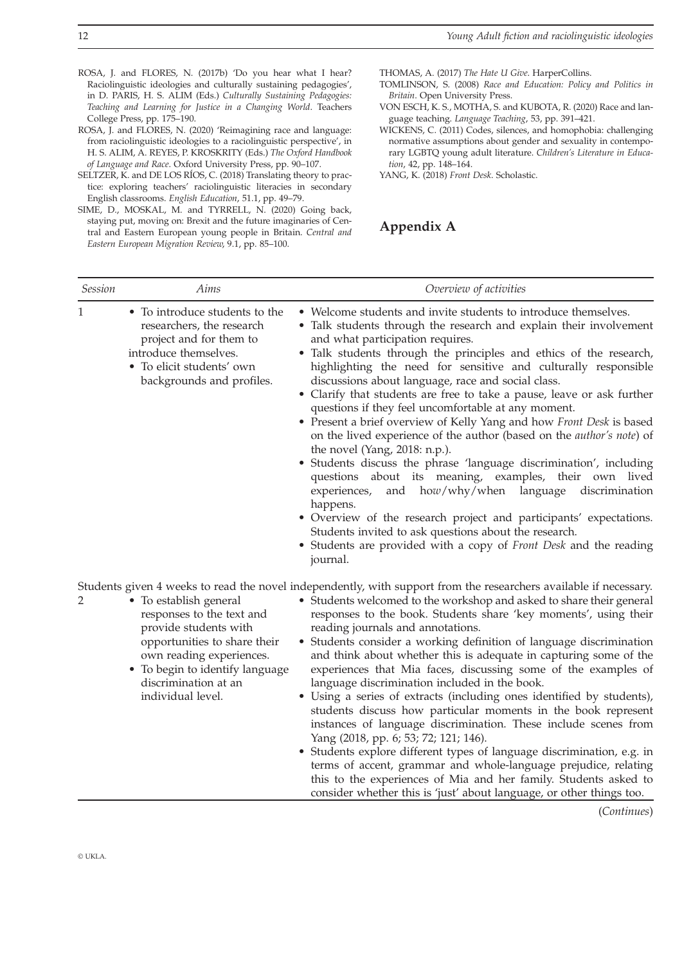ROSA, J. and FLORES, N. (2017b) 'Do you hear what I hear? Raciolinguistic ideologies and culturally sustaining pedagogies', in D. PARIS, H. S. ALIM (Eds.) *Culturally Sustaining Pedagogies: Teaching and Learning for Justice in a Changing World*. Teachers College Press, pp. 175–190.

ROSA, J. and FLORES, N. (2020) 'Reimagining race and language: from raciolinguistic ideologies to a raciolinguistic perspective', in H. S. ALIM, A. REYES, P. KROSKRITY (Eds.) *The Oxford Handbook of Language and Race*. Oxford University Press, pp. 90–107.

SELTZER, K. and DE LOS RÍOS, C. (2018) Translating theory to practice: exploring teachers' raciolinguistic literacies in secondary English classrooms. *English Education*, 51.1, pp. 49–79.

SIME, D., MOSKAL, M. and TYRRELL, N. (2020) Going back, staying put, moving on: Brexit and the future imaginaries of Central and Eastern European young people in Britain. *Central and Eastern European Migration Review*, 9.1, pp. 85–100.

THOMAS, A. (2017) *The Hate U Give*. HarperCollins.

- TOMLINSON, S. (2008) *Race and Education: Policy and Politics in Britain*. Open University Press.
- VON ESCH, K. S., MOTHA, S. and KUBOTA, R. (2020) Race and language teaching. *Language Teaching*, 53, pp. 391–421.
- WICKENS, C. (2011) Codes, silences, and homophobia: challenging normative assumptions about gender and sexuality in contemporary LGBTQ young adult literature. *Children's Literature in Education*, 42, pp. 148–164.

YANG, K. (2018) *Front Desk*. Scholastic.

**Appendix A**

| Session      | Aims                                                                                                                                                                                                                     | Overview of activities                                                                                                                                                                                                                                                                                                                                                                                                                                                                                                                                                                                                                                                                                                                                                                                                                                                                                                                                                                                                                                                                                                          |
|--------------|--------------------------------------------------------------------------------------------------------------------------------------------------------------------------------------------------------------------------|---------------------------------------------------------------------------------------------------------------------------------------------------------------------------------------------------------------------------------------------------------------------------------------------------------------------------------------------------------------------------------------------------------------------------------------------------------------------------------------------------------------------------------------------------------------------------------------------------------------------------------------------------------------------------------------------------------------------------------------------------------------------------------------------------------------------------------------------------------------------------------------------------------------------------------------------------------------------------------------------------------------------------------------------------------------------------------------------------------------------------------|
| $\mathbf{1}$ | • To introduce students to the<br>researchers, the research<br>project and for them to<br>introduce themselves.<br>• To elicit students' own<br>backgrounds and profiles.                                                | • Welcome students and invite students to introduce themselves.<br>• Talk students through the research and explain their involvement<br>and what participation requires.<br>• Talk students through the principles and ethics of the research,<br>highlighting the need for sensitive and culturally responsible<br>discussions about language, race and social class.<br>• Clarify that students are free to take a pause, leave or ask further<br>questions if they feel uncomfortable at any moment.<br>• Present a brief overview of Kelly Yang and how Front Desk is based<br>on the lived experience of the author (based on the <i>author's note</i> ) of<br>the novel (Yang, 2018: n.p.).<br>• Students discuss the phrase 'language discrimination', including<br>questions about its meaning, examples, their own lived<br>and $how/why/when$ language<br>experiences,<br>discrimination<br>happens.<br>· Overview of the research project and participants' expectations.<br>Students invited to ask questions about the research.<br>• Students are provided with a copy of Front Desk and the reading<br>journal. |
| 2            | • To establish general<br>responses to the text and<br>provide students with<br>opportunities to share their<br>own reading experiences.<br>• To begin to identify language<br>discrimination at an<br>individual level. | Students given 4 weeks to read the novel independently, with support from the researchers available if necessary.<br>• Students welcomed to the workshop and asked to share their general<br>responses to the book. Students share 'key moments', using their<br>reading journals and annotations.<br>• Students consider a working definition of language discrimination<br>and think about whether this is adequate in capturing some of the<br>experiences that Mia faces, discussing some of the examples of<br>language discrimination included in the book.<br>• Using a series of extracts (including ones identified by students),<br>students discuss how particular moments in the book represent<br>instances of language discrimination. These include scenes from<br>Yang (2018, pp. 6; 53; 72; 121; 146).<br>• Students explore different types of language discrimination, e.g. in<br>terms of accent, grammar and whole-language prejudice, relating<br>this to the experiences of Mia and her family. Students asked to<br>consider whether this is 'just' about language, or other things too.                |

(*Continues*)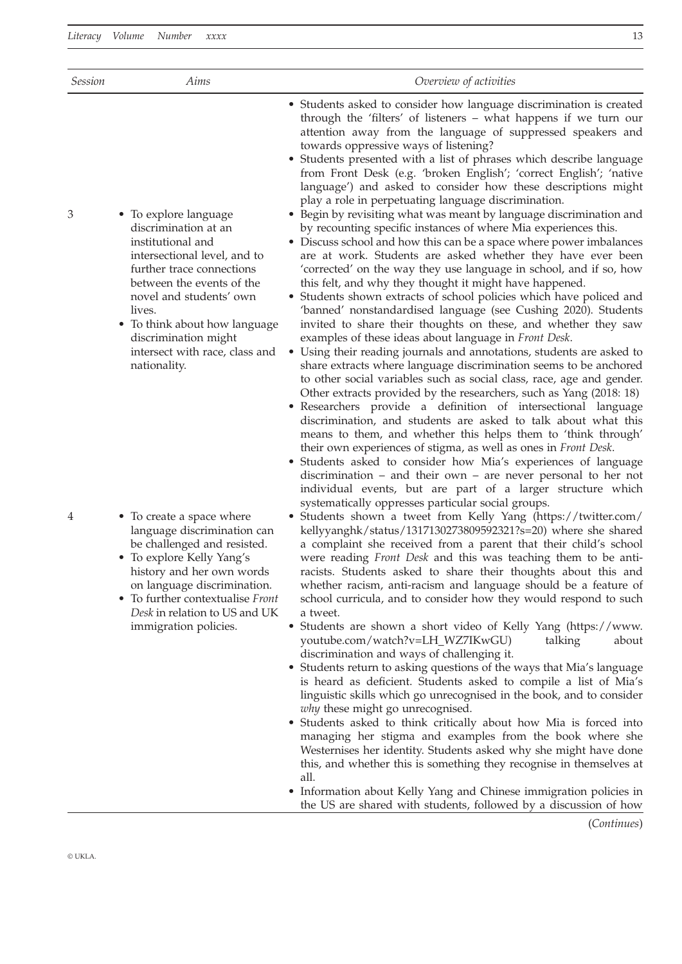| 13<br>Literacy Volume<br>Number<br>$x$ $x$ $x$ $x$ |                                                                                                                                                                                                                                                                                                              |                                                                                                                                                                                                                                                                                                                                                                                                                                                                                                                                                                                                                                                                                                                                                                                                                                                                                                                                                                                                                                                                                                                                                                                                                                                                                                                                                                                                                                                                                                                                                                                                                                                                                                                                                                                                                                                                                                                                                                                        |  |  |
|----------------------------------------------------|--------------------------------------------------------------------------------------------------------------------------------------------------------------------------------------------------------------------------------------------------------------------------------------------------------------|----------------------------------------------------------------------------------------------------------------------------------------------------------------------------------------------------------------------------------------------------------------------------------------------------------------------------------------------------------------------------------------------------------------------------------------------------------------------------------------------------------------------------------------------------------------------------------------------------------------------------------------------------------------------------------------------------------------------------------------------------------------------------------------------------------------------------------------------------------------------------------------------------------------------------------------------------------------------------------------------------------------------------------------------------------------------------------------------------------------------------------------------------------------------------------------------------------------------------------------------------------------------------------------------------------------------------------------------------------------------------------------------------------------------------------------------------------------------------------------------------------------------------------------------------------------------------------------------------------------------------------------------------------------------------------------------------------------------------------------------------------------------------------------------------------------------------------------------------------------------------------------------------------------------------------------------------------------------------------------|--|--|
| <i>Session</i>                                     | Aims                                                                                                                                                                                                                                                                                                         | Overview of activities                                                                                                                                                                                                                                                                                                                                                                                                                                                                                                                                                                                                                                                                                                                                                                                                                                                                                                                                                                                                                                                                                                                                                                                                                                                                                                                                                                                                                                                                                                                                                                                                                                                                                                                                                                                                                                                                                                                                                                 |  |  |
| 3                                                  | • To explore language<br>discrimination at an<br>institutional and<br>intersectional level, and to<br>further trace connections<br>between the events of the<br>novel and students' own<br>lives.<br>• To think about how language<br>discrimination might<br>intersect with race, class and<br>nationality. | • Students asked to consider how language discrimination is created<br>through the 'filters' of listeners - what happens if we turn our<br>attention away from the language of suppressed speakers and<br>towards oppressive ways of listening?<br>• Students presented with a list of phrases which describe language<br>from Front Desk (e.g. 'broken English'; 'correct English'; 'native<br>language') and asked to consider how these descriptions might<br>play a role in perpetuating language discrimination.<br>• Begin by revisiting what was meant by language discrimination and<br>by recounting specific instances of where Mia experiences this.<br>• Discuss school and how this can be a space where power imbalances<br>are at work. Students are asked whether they have ever been<br>'corrected' on the way they use language in school, and if so, how<br>this felt, and why they thought it might have happened.<br>• Students shown extracts of school policies which have policed and<br>'banned' nonstandardised language (see Cushing 2020). Students<br>invited to share their thoughts on these, and whether they saw<br>examples of these ideas about language in Front Desk.<br>• Using their reading journals and annotations, students are asked to<br>share extracts where language discrimination seems to be anchored<br>to other social variables such as social class, race, age and gender.<br>Other extracts provided by the researchers, such as Yang (2018: 18)<br>• Researchers provide a definition of intersectional language<br>discrimination, and students are asked to talk about what this<br>means to them, and whether this helps them to 'think through'<br>their own experiences of stigma, as well as ones in Front Desk.<br>· Students asked to consider how Mia's experiences of language<br>discrimination $-$ and their own $-$ are never personal to her not<br>individual events, but are part of a larger structure which |  |  |
| 4                                                  | • To create a space where<br>language discrimination can<br>be challenged and resisted.<br>• To explore Kelly Yang's<br>history and her own words                                                                                                                                                            | systematically oppresses particular social groups.<br>• Students shown a tweet from Kelly Yang (https://twitter.com/<br>kellyyanghk/status/1317130273809592321?s=20) where she shared<br>a complaint she received from a parent that their child's school<br>were reading Front Desk and this was teaching them to be anti-<br>racists. Students asked to share their thoughts about this and                                                                                                                                                                                                                                                                                                                                                                                                                                                                                                                                                                                                                                                                                                                                                                                                                                                                                                                                                                                                                                                                                                                                                                                                                                                                                                                                                                                                                                                                                                                                                                                          |  |  |

a tweet. • Students are shown a short video of Kelly Yang ([https://www.](https://www.youtube.com/watch?v=LH_WZ7IKwGU) [youtube.com/watch?v=LH\\_WZ7IKwGU\)](https://www.youtube.com/watch?v=LH_WZ7IKwGU) talking about discrimination and ways of challenging it.

whether racism, anti-racism and language should be a feature of school curricula, and to consider how they would respond to such

- Students return to asking questions of the ways that Mia's language is heard as deficient. Students asked to compile a list of Mia's linguistic skills which go unrecognised in the book, and to consider *why* these might go unrecognised.
- Students asked to think critically about how Mia is forced into managing her stigma and examples from the book where she Westernises her identity. Students asked why she might have done this, and whether this is something they recognise in themselves at all.
- Information about Kelly Yang and Chinese immigration policies in the US are shared with students, followed by a discussion of how

(*Continues*)

- 4 To create language be challen
	- $\bullet$  To explore history an on language discrimination.
	- To further contextualise *Front Desk* in relation to US and UK immigration policies.

© UKLA.